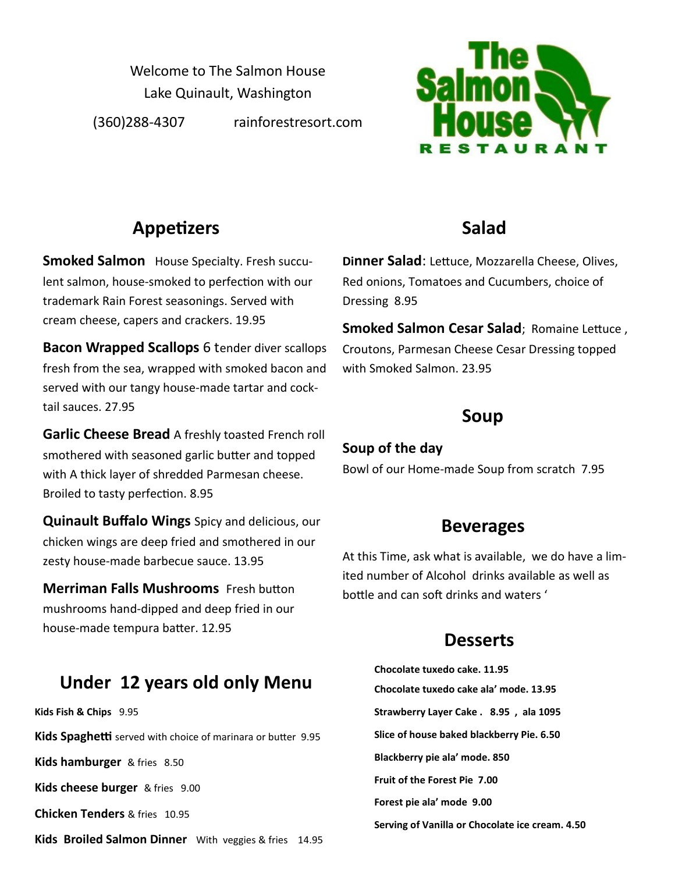Welcome to The Salmon House Lake Quinault, Washington (360)288-4307 rainforestresort.com



## **Appetizers**

**Smoked Salmon** House Specialty. Fresh succulent salmon, house-smoked to perfection with our trademark Rain Forest seasonings. Served with cream cheese, capers and crackers. 19.95

**Bacon Wrapped Scallops** 6 tender diver scallops fresh from the sea, wrapped with smoked bacon and served with our tangy house-made tartar and cocktail sauces. 27.95

**Garlic Cheese Bread** A freshly toasted French roll smothered with seasoned garlic butter and topped with A thick layer of shredded Parmesan cheese. Broiled to tasty perfection. 8.95

**Quinault Buffalo Wings** Spicy and delicious, our chicken wings are deep fried and smothered in our zesty house-made barbecue sauce. 13.95

**Merriman Falls Mushrooms** Fresh button mushrooms hand-dipped and deep fried in our house-made tempura batter. 12.95

## **Under 12 years old only Menu**

**Kids Fish & Chips** 9.95 **Kids Spaghetti** served with choice of marinara or butter 9.95 **Kids hamburger** & fries 8.50 **Kids cheese burger** & fries 9.00 **Chicken Tenders** & fries 10.95 **Kids Broiled Salmon Dinner** With veggies & fries 14.95

## **Salad**

**Dinner Salad**: Lettuce, Mozzarella Cheese, Olives, Red onions, Tomatoes and Cucumbers, choice of Dressing 8.95

**Smoked Salmon Cesar Salad**; Romaine Lettuce , Croutons, Parmesan Cheese Cesar Dressing topped with Smoked Salmon. 23.95

#### **Soup**

#### **Soup of the day**

Bowl of our Home-made Soup from scratch 7.95

#### **Beverages**

At this Time, ask what is available, we do have a limited number of Alcohol drinks available as well as bottle and can soft drinks and waters '

## **Desserts**

**Chocolate tuxedo cake. 11.95 Chocolate tuxedo cake ala' mode. 13.95 Strawberry Layer Cake . 8.95 , ala 1095 Slice of house baked blackberry Pie. 6.50 Blackberry pie ala' mode. 850 Fruit of the Forest Pie 7.00 Forest pie ala' mode 9.00 Serving of Vanilla or Chocolate ice cream. 4.50**